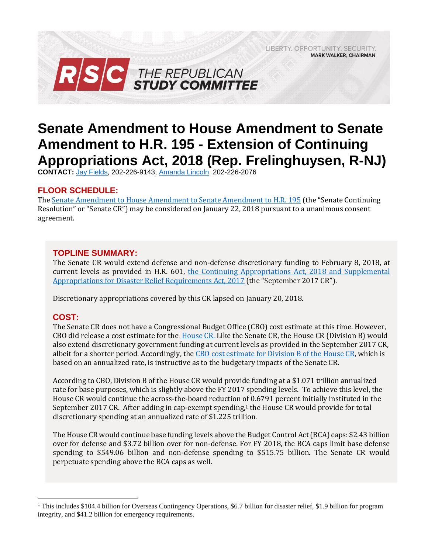LIBERTY, OPPORTUNITY, SECURITY, **MARK WALKER, CHAIRMAN** 



# **Senate Amendment to House Amendment to Senate Amendment to H.R. 195 - Extension of Continuing Appropriations Act, 2018 (Rep. Frelinghuysen, R-NJ)**

**CONTACT:** Jay [Fields,](mailto:jay.fields@mail.house.gov) 202-226-9143; [Amanda Lincoln,](mailto:amanda.lincoln@mail.house.gov) 202-226-2076

# **FLOOR SCHEDULE:**

Th[e Senate Amendment to House Amendment to Senate Amendment to H.R. 195](http://ats.senate.gov/Display.aspx?ID=1917) (the "Senate Continuing Resolution" or "Senate CR") may be considered on January 22, 2018 pursuant to a unanimous consent agreement.

# **TOPLINE SUMMARY:**

The Senate CR would extend defense and non-defense discretionary funding to February 8, 2018, at current levels as provided in H.R. 601, [the Continuing Appropriations Act, 2018 and Supplemental](https://gallery.mailchimp.com/d4254037a343b683d142111e0/files/86067b86-49d6-4a66-bc77-1f24be4448e0/RSC_Legislative_Bulletin_HR_601_Hurricane_Supplemental_Debt_Limit_CR_September_8_2017.pdf)  [Appropriations for Disaster Relief Requirements Act, 2017](https://gallery.mailchimp.com/d4254037a343b683d142111e0/files/86067b86-49d6-4a66-bc77-1f24be4448e0/RSC_Legislative_Bulletin_HR_601_Hurricane_Supplemental_Debt_Limit_CR_September_8_2017.pdf) (the "September 2017 CR").

Discretionary appropriations covered by this CR lapsed on January 20, 2018.

# **COST:**

 $\overline{a}$ 

The Senate CR does not have a Congressional Budget Office (CBO) cost estimate at this time. However, CBO did release a cost estimate for the *House CR*. Like the Senate CR, the House CR (Division B) would also extend discretionary government funding at current levels as provided in the September 2017 CR, albeit for a shorter period. Accordingly, the [CBO cost estimate for Division B of the House CR,](https://www.cbo.gov/system/files/115th-congress-2017-2018/costestimate/rulescommitteeprint115-55-c.pdf) which is based on an annualized rate, is instructive as to the budgetary impacts of the Senate CR.

According to CBO, Division B of the House CR would provide funding at a \$1.071 trillion annualized rate for base purposes, which is slightly above the FY 2017 spending levels. To achieve this level, the House CR would continue the across-the-board reduction of 0.6791 percent initially instituted in the September 2017 CR. After adding in cap-exempt spending,<sup>1</sup> the House CR would provide for total discretionary spending at an annualized rate of \$1.225 trillion.

The House CR would continue base funding levels above the Budget Control Act (BCA) caps: \$2.43 billion over for defense and \$3.72 billion over for non-defense. For FY 2018, the BCA caps limit base defense spending to \$549.06 billion and non-defense spending to \$515.75 billion. The Senate CR would perpetuate spending above the BCA caps as well.

<sup>&</sup>lt;sup>1</sup> This includes \$104.4 billion for Overseas Contingency Operations, \$6.7 billion for disaster relief, \$1.9 billion for program integrity, and \$41.2 billion for emergency requirements.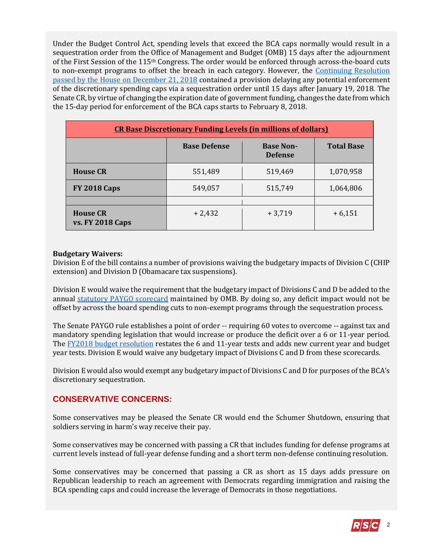Under the Budget Control Act, spending levels that exceed the BCA caps normally would result in a sequestration order from the Office of Management and Budget (OMB) 15 days after the adjournment of the First Session of the 115th Congress. The order would be enforced through across-the-board cuts to non-exempt programs to offset the breach in each category. However, the [Continuing Resolution](https://gallery.mailchimp.com/d4254037a343b683d142111e0/files/a56b88ed-0bc9-41df-befa-47f620eb0091/LB_Continuing_Resolution_Dec_22_FINAL.01.pdf) [passed by the House on December 21, 2018](https://gallery.mailchimp.com/d4254037a343b683d142111e0/files/a56b88ed-0bc9-41df-befa-47f620eb0091/LB_Continuing_Resolution_Dec_22_FINAL.01.pdf) contained a provision delaying any potential enforcement of the discretionary spending caps via a sequestration order until 15 days after January 19, 2018. The Senate CR, by virtue of changing the expiration date of government funding, changes the date from which the 15-day period for enforcement of the BCA caps starts to February 8, 2018.

| <b>CR Base Discretionary Funding Levels (in millions of dollars)</b> |                     |                                    |                   |
|----------------------------------------------------------------------|---------------------|------------------------------------|-------------------|
|                                                                      | <b>Base Defense</b> | <b>Base Non-</b><br><b>Defense</b> | <b>Total Base</b> |
| <b>House CR</b>                                                      | 551,489             | 519,469                            | 1,070,958         |
| <b>FY 2018 Caps</b>                                                  | 549,057             | 515,749                            | 1,064,806         |
|                                                                      |                     |                                    |                   |
| <b>House CR</b><br><b>vs. FY 2018 Caps</b>                           | $+2,432$            | $+3,719$                           | $+6,151$          |

#### **Budgetary Waivers:**

Division E of the bill contains a number of provisions waiving the budgetary impacts of Division C (CHIP extension) and Division D (Obamacare tax suspensions).

Division E would waive the requirement that the budgetary impact of Divisions C and D be added to the annual [statutory PAYGO scorecard](https://www.pgpf.org/budget-basics/understanding-complex-budget-terms-and-processes-and-why-they-matter/what-is-paygo) maintained by OMB. By doing so, any deficit impact would not be offset by across the board spending cuts to non-exempt programs through the sequestration process.

The Senate PAYGO rule establishes a point of order -- requiring 60 votes to overcome -- against tax and mandatory spending legislation that would increase or produce the deficit over a 6 or 11-year period. The [FY2018 budget resolution](https://gallery.mailchimp.com/d4254037a343b683d142111e0/files/b3aad671-ec16-46b9-b098-4f2bf60797e6/RSC_Legislative_Bulletin_Senate_Amendment_to_H_Con_Res_71_October_26_2017.03.pdf) restates the 6 and 11-year tests and adds new current year and budget year tests. Division E would waive any budgetary impact of Divisions C and D from these scorecards.

Division E would also would exempt any budgetary impact of Divisions C and D for purposes of the BCA's discretionary sequestration.

# **CONSERVATIVE CONCERNS:**

Some conservatives may be pleased the Senate CR would end the Schumer Shutdown, ensuring that soldiers serving in harm's way receive their pay.

Some conservatives may be concerned with passing a CR that includes funding for defense programs at current levels instead of full-year defense funding and a short term non-defense continuing resolution.

Some conservatives may be concerned that passing a CR as short as 15 days adds pressure on Republican leadership to reach an agreement with Democrats regarding immigration and raising the BCA spending caps and could increase the leverage of Democrats in those negotiations.

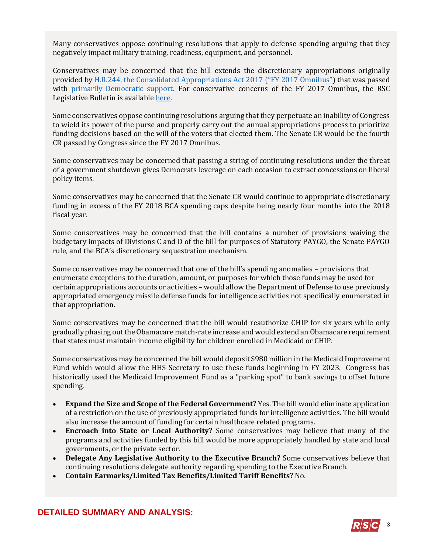Many conservatives oppose continuing resolutions that apply to defense spending arguing that they negatively impact military training, readiness, equipment, and personnel.

Conservatives may be concerned that the bill extends the discretionary appropriations originally provided by [H.R.244, the Consolidated Appropriations Act 2017 \("](http://rsc.walker.house.gov/files/2017LB/RSC_Legislative_Bulletin_HR_244_FY_2017_Omnibus_May_3_2017.pdf)[FY 2017 Omnibus](http://rsc.walker.house.gov/files/2017LB/RSC_Legislative_Bulletin_HR_244_FY_2017_Omnibus_May_3_2017.pdf)") that was passed with [primarily Democratic support.](http://clerk.house.gov/evs/2017/roll249.xml) For conservative concerns of the FY 2017 Omnibus, the RSC Legislative Bulletin is availabl[e here.](https://gallery.mailchimp.com/d4254037a343b683d142111e0/files/86067b86-49d6-4a66-bc77-1f24be4448e0/RSC_Legislative_Bulletin_HR_601_Hurricane_Supplemental_Debt_Limit_CR_September_8_2017.pdf)

Some conservatives oppose continuing resolutions arguing that they perpetuate an inability of Congress to wield its power of the purse and properly carry out the annual appropriations process to prioritize funding decisions based on the will of the voters that elected them. The Senate CR would be the fourth CR passed by Congress since the FY 2017 Omnibus.

Some conservatives may be concerned that passing a string of continuing resolutions under the threat of a government shutdown gives Democrats leverage on each occasion to extract concessions on liberal policy items.

Some conservatives may be concerned that the Senate CR would continue to appropriate discretionary funding in excess of the FY 2018 BCA spending caps despite being nearly four months into the 2018 fiscal year.

Some conservatives may be concerned that the bill contains a number of provisions waiving the budgetary impacts of Divisions C and D of the bill for purposes of Statutory PAYGO, the Senate PAYGO rule, and the BCA's discretionary sequestration mechanism.

Some conservatives may be concerned that one of the bill's spending anomalies – provisions that enumerate exceptions to the duration, amount, or purposes for which those funds may be used for certain appropriations accounts or activities – would allow the Department of Defense to use previously appropriated emergency missile defense funds for intelligence activities not specifically enumerated in that appropriation.

Some conservatives may be concerned that the bill would reauthorize CHIP for six years while only gradually phasing out the Obamacare match-rate increase and would extend an Obamacare requirement that states must maintain income eligibility for children enrolled in Medicaid or CHIP.

Some conservatives may be concerned the bill would deposit \$980 million in the Medicaid Improvement Fund which would allow the HHS Secretary to use these funds beginning in FY 2023. Congress has historically used the Medicaid Improvement Fund as a "parking spot" to bank savings to offset future spending.

- **Expand the Size and Scope of the Federal Government?** Yes. The bill would eliminate application of a restriction on the use of previously appropriated funds for intelligence activities. The bill would also increase the amount of funding for certain healthcare related programs.
- **Encroach into State or Local Authority?** Some conservatives may believe that many of the programs and activities funded by this bill would be more appropriately handled by state and local governments, or the private sector.
- **Delegate Any Legislative Authority to the Executive Branch?** Some conservatives believe that continuing resolutions delegate authority regarding spending to the Executive Branch.
- **Contain Earmarks/Limited Tax Benefits/Limited Tariff Benefits?** No.

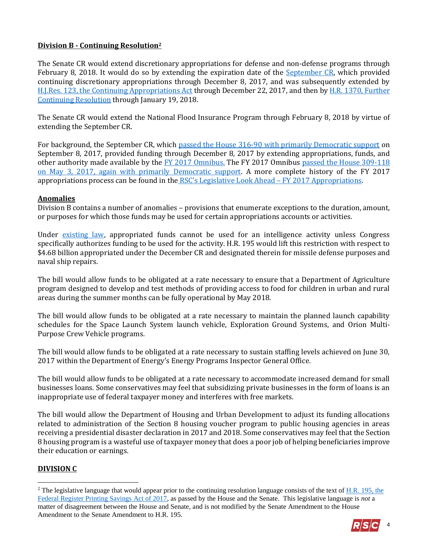## **Division B - Continuing Resolution<sup>2</sup>**

The Senate CR would extend discretionary appropriations for defense and non-defense programs through February 8, 2018. It would do so by extending the expiration date of the [September CR,](https://gallery.mailchimp.com/d4254037a343b683d142111e0/files/86067b86-49d6-4a66-bc77-1f24be4448e0/RSC_Legislative_Bulletin_HR_601_Hurricane_Supplemental_Debt_Limit_CR_September_8_2017.pdf) which provided continuing discretionary appropriations through December 8, 2017, and was subsequently extended by [H.J.Res. 123, the Continuing Appropriations Act](https://gallery.mailchimp.com/d4254037a343b683d142111e0/files/7b9c40c5-76fb-4cc5-abbc-ad8e9f1f5b16/LB_HJRes_123_Dec_8_CR_FINAL.pdf) through December 22, 2017, and then b[y H.R. 1370, Further](https://gallery.mailchimp.com/d4254037a343b683d142111e0/files/a56b88ed-0bc9-41df-befa-47f620eb0091/LB_Continuing_Resolution_Dec_22_FINAL.01.pdf)  [Continuing Resolution](https://gallery.mailchimp.com/d4254037a343b683d142111e0/files/a56b88ed-0bc9-41df-befa-47f620eb0091/LB_Continuing_Resolution_Dec_22_FINAL.01.pdf) through January 19, 2018.

The Senate CR would extend the National Flood Insurance Program through February 8, 2018 by virtue of extending the September CR.

For background, the September CR, which [passed the House 316-90 with primarily Democratic support](http://clerk.house.gov/evs/2017/roll480.xml) on September 8, 2017, provided funding through December 8, 2017 by extending appropriations, funds, and other authority made available by [the FY 2017 Omnibus.](http://rsc.walker.house.gov/files/2017LB/RSC_Legislative_Bulletin_HR_244_FY_2017_Omnibus_May_3_2017.pdf) The FY 2017 Omnibus passed the House 309-118 [on May 3, 2017, again with primarily Democratic support.](http://clerk.house.gov/evs/2017/roll249.xml) A more complete history of the FY 2017 appropriations process can be found in the [RSC's Legislative Look Ahead –](https://gallery.mailchimp.com/d4254037a343b683d142111e0/files/d098b80e-7b7f-4753-9bdd-2fc68ea93c90/RSC_Legislative_Look_Ahead_FY_2017_Appropriations_April_25_2017.pdf) FY 2017 Appropriations.

#### **Anomalies**

Division B contains a number of anomalies – provisions that enumerate exceptions to the duration, amount, or purposes for which those funds may be used for certain appropriations accounts or activities.

Under [existing law,](http://uscode.house.gov/view.xhtml?req=(title:50%20section:3094%20edition:prelim)%20OR%20(granuleid:USC-prelim-title50-section3094)&f=treesort&edition=prelim&num=0&jumpTo=true#substructure-location_a_1) appropriated funds cannot be used for an intelligence activity unless Congress specifically authorizes funding to be used for the activity. H.R. 195 would lift this restriction with respect to \$4.68 billion appropriated under the December CR and designated therein for missile defense purposes and naval ship repairs.

The bill would allow funds to be obligated at a rate necessary to ensure that a Department of Agriculture program designed to develop and test methods of providing access to food for children in urban and rural areas during the summer months can be fully operational by May 2018.

The bill would allow funds to be obligated at a rate necessary to maintain the planned launch capability schedules for the Space Launch System launch vehicle, Exploration Ground Systems, and Orion Multi-Purpose Crew Vehicle programs.

The bill would allow funds to be obligated at a rate necessary to sustain staffing levels achieved on June 30, 2017 within the Department of Energy's Energy Programs Inspector General Office.

The bill would allow funds to be obligated at a rate necessary to accommodate increased demand for small businesses loans. Some conservatives may feel that subsidizing private businesses in the form of loans is an inappropriate use of federal taxpayer money and interferes with free markets.

The bill would allow the Department of Housing and Urban Development to adjust its funding allocations related to administration of the Section 8 housing voucher program to public housing agencies in areas receiving a presidential disaster declaration in 2017 and 2018. Some conservatives may feel that the Section 8 housing program is a wasteful use of taxpayer money that does a poor job of helping beneficiaries improve their education or earnings.

## **DIVISION C**

 $\overline{a}$ 

<sup>&</sup>lt;sup>2</sup> The legislative language that would appear prior to the continuing resolution language consists of the text of H.R. 195, the [Federal Register Printing Savings Act of 2017,](http://rsc.walker.house.gov/files/2017LB/RSC_Legislative_Bulletin_Suspensions_May_17_2017.01.pdf#page=10) as passed by the House and the Senate. This legislative language is *not* a matter of disagreement between the House and Senate, and is not modified by the Senate Amendment to the House Amendment to the Senate Amendment to H.R. 195.

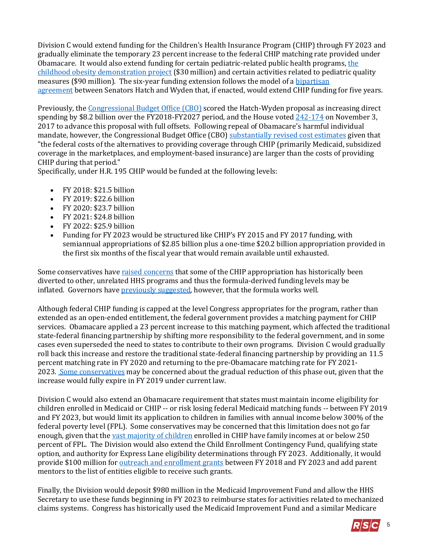Division C would extend funding for the Children's Health Insurance Program (CHIP) through FY 2023 and gradually eliminate the temporary 23 percent increase to the federal CHIP matching rate provided under Obamacare. It would also extend funding for certain pediatric-related public health programs, [the](https://aspe.hhs.gov/report/affordable-care-act-and-adolescents/childhood-obesity-demonstration-project)  [childhood obesity demonstration project](https://aspe.hhs.gov/report/affordable-care-act-and-adolescents/childhood-obesity-demonstration-project) (\$30 million) and certain activities related to pediatric quality measures (\$90 million). The six-year funding extension follows the model of a [bipartisan](https://www.congress.gov/115/bills/s1827/BILLS-115s1827rs.pdf)  [agreement](https://www.congress.gov/115/bills/s1827/BILLS-115s1827rs.pdf) between Senators Hatch and Wyden that, if enacted, would extend CHIP funding for five years.

Previously, the [Congressional Budget Office \(CBO\)](https://www.cbo.gov/system/files/115th-congress-2017-2018/costestimate/s1827.pdf) scored the Hatch-Wyden proposal as increasing direct spending by \$8.2 billion over the FY2018-FY2027 period, and the House voted [242-174](http://clerk.house.gov/evs/2017/roll606.xml) on November 3, 2017 to advance this proposal with full offsets. Following repeal of Obamacare's harmful individual mandate, however, the Congressional Budget Office (CBO) [substantially revised cost estimates](https://www.cbo.gov/system/files/115th-congress-2017-2018/costestimate/s1827_0.pdf) given that "the federal costs of the alternatives to providing coverage through CHIP (primarily Medicaid, subsidized coverage in the marketplaces, and employment-based insurance) are larger than the costs of providing CHIP during that period."

Specifically, under H.R. 195 CHIP would be funded at the following levels:

- FY 2018: \$21.5 billion
- FY 2019: \$22.6 billion
- FY 2020: \$23.7 billion
- FY 2021: \$24.8 billion
- FY 2022: \$25.9 billion
- Funding for FY 2023 would be structured like CHIP's FY 2015 and FY 2017 funding, with semiannual appropriations of \$2.85 billion plus a one-time \$20.2 billion appropriation provided in the first six months of the fiscal year that would remain available until exhausted.

Some conservatives have [raised concerns](https://www.medpagetoday.com/publichealthpolicy/medicaid/68333) that some of the CHIP appropriation has historically been diverted to other, unrelated HHS programs and thus the formula-derived funding levels may be inflated. Governors have [previously suggested,](https://archives-energycommerce.house.gov/sites/republicans.energycommerce.house.gov/files/letters/20141203-CHIP-Response-Summary.pdf) however, that the formula works well.

Although federal CHIP funding is capped at the level Congress appropriates for the program, rather than extended as an open-ended entitlement, the federal government provides a matching payment for CHIP services. Obamacare applied a 23 percent increase to this matching payment, which affected the traditional state-federal financing partnership by shifting more responsibility to the federal government, and in some cases even superseded the need to states to contribute to their own programs. Division C would gradually roll back this increase and restore the traditional state-federal financing partnership by providing an 11.5 percent matching rate in FY 2020 and returning to the pre-Obamacare matching rate for FY 2021- 2023. [Some conservatives](http://thefederalist.com/2018/01/08/republicans-ignore-promises-reform-state-health-insurance-subsidies/) may be concerned about the gradual reduction of this phase out, given that the increase would fully expire in FY 2019 under current law.

Division C would also extend an Obamacare requirement that states must maintain income eligibility for children enrolled in Medicaid or CHIP -- or risk losing federal Medicaid matching funds -- between FY 2019 and FY 2023, but would limit its application to children in families with annual income below 300% of the federal poverty level (FPL). Some conservatives may be concerned that this limitation does not go far enough, given that the [vast majority of children](https://www.macpac.gov/wp-content/uploads/2017/03/March-2017-Report-to-Congress-on-Medicaid-and-CHIP.pdf) enrolled in CHIP have family incomes at or below 250 percent of FPL. The Division would also extend the Child Enrollment Contingency Fund, qualifying state option, and authority for Express Lane eligibility determinations through FY 2023. Additionally, it would provide \$100 million for [outreach and enrollment grants](https://www.insurekidsnow.gov/campaign/funding/index.html) between FY 2018 and FY 2023 and add parent mentors to the list of entities eligible to receive such grants.

Finally, the Division would deposit \$980 million in the Medicaid Improvement Fund and allow the HHS Secretary to use these funds beginning in FY 2023 to reimburse states for activities related to mechanized claims systems. Congress has historically used the Medicaid Improvement Fund and a similar Medicare

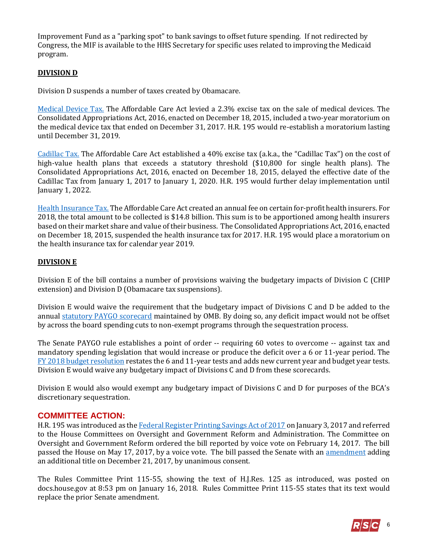Improvement Fund as a "parking spot" to bank savings to offset future spending. If not redirected by Congress, the MIF is available to the HHS Secretary for specific uses related to improving the Medicaid program.

## **DIVISION D**

Division D suspends a number of taxes created by Obamacare.

[Medical Device Tax.](https://fas.org/sgp/crs/misc/R43342.pdf) The Affordable Care Act levied a 2.3% excise tax on the sale of medical devices. The Consolidated Appropriations Act, 2016, enacted on December 18, 2015, included a two-year moratorium on the medical device tax that ended on December 31, 2017. H.R. 195 would re-establish a moratorium lasting until December 31, 2019.

[Cadillac Tax.](https://fas.org/sgp/crs/misc/R44147.pdf) The Affordable Care Act established a 40% excise tax (a.k.a., the "Cadillac Tax") on the cost of high-value health plans that exceeds a statutory threshold (\$10,800 for single health plans). The Consolidated Appropriations Act, 2016, enacted on December 18, 2015, delayed the effective date of the Cadillac Tax from January 1, 2017 to January 1, 2020. H.R. 195 would further delay implementation until January 1, 2022.

[Health Insurance Tax.](https://fas.org/sgp/crs/misc/R43225.pdf) The Affordable Care Act created an annual fee on certain for-profit health insurers. For 2018, the total amount to be collected is \$14.8 billion. This sum is to be apportioned among health insurers based on their market share and value of their business. The Consolidated Appropriations Act, 2016, enacted on December 18, 2015, suspended the health insurance tax for 2017. H.R. 195 would place a moratorium on the health insurance tax for calendar year 2019.

#### **DIVISION E**

Division E of the bill contains a number of provisions waiving the budgetary impacts of Division C (CHIP extension) and Division D (Obamacare tax suspensions).

Division E would waive the requirement that the budgetary impact of Divisions C and D be added to the annual [statutory PAYGO scorecard](https://www.pgpf.org/budget-basics/understanding-complex-budget-terms-and-processes-and-why-they-matter/what-is-paygo) maintained by OMB. By doing so, any deficit impact would not be offset by across the board spending cuts to non-exempt programs through the sequestration process.

The Senate PAYGO rule establishes a point of order -- requiring 60 votes to overcome -- against tax and mandatory spending legislation that would increase or produce the deficit over a 6 or 11-year period. The [FY 2018 budget resolution](https://gallery.mailchimp.com/d4254037a343b683d142111e0/files/b3aad671-ec16-46b9-b098-4f2bf60797e6/RSC_Legislative_Bulletin_Senate_Amendment_to_H_Con_Res_71_October_26_2017.03.pdf) restates the 6 and 11-year tests and adds new current year and budget year tests. Division E would waive any budgetary impact of Divisions C and D from these scorecards.

Division E would also would exempt any budgetary impact of Divisions C and D for purposes of the BCA's discretionary sequestration.

#### **COMMITTEE ACTION:**

H.R. 195 was introduced as the [Federal Register Printing Savings Act of 2017](http://rsc.walker.house.gov/files/2017LB/RSC_Legislative_Bulletin_Suspensions_May_17_2017.01.pdf#page=10) on January 3, 2017 and referred to the House Committees on Oversight and Government Reform and Administration. The Committee on Oversight and Government Reform ordered the bill reported by voice vote on February 14, 2017. The bill passed the House on May 17, 2017, by a voice vote. The bill passed the Senate with an [amendment](https://www.gpo.gov/fdsys/pkg/BILLS-115hr195eas/pdf/BILLS-115hr195eas.pdf) adding an additional title on December 21, 2017, by unanimous consent.

The Rules Committee Print 115-55, showing the text of H.J.Res. 125 as introduced, was posted on docs.house.gov at 8:53 pm on January 16, 2018. Rules Committee Print 115-55 states that its text would replace the prior Senate amendment.